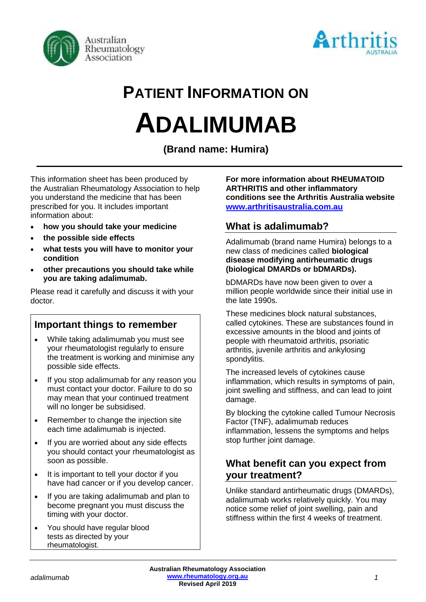



# **PATIENT INFORMATION ON ADALIMUMAB**

**(Brand name: Humira)**

This information sheet has been produced by the Australian Rheumatology Association to help you understand the medicine that has been prescribed for you. It includes important information about:

- **how you should take your medicine**
- **the possible side effects**
- **what tests you will have to monitor your condition**
- **other precautions you should take while you are taking adalimumab.**

Please read it carefully and discuss it with your doctor.

## **Important things to remember**

- While taking adalimumab you must see your rheumatologist regularly to ensure the treatment is working and minimise any possible side effects.
- If you stop adalimumab for any reason you must contact your doctor. Failure to do so may mean that your continued treatment will no longer be subsidised.
- Remember to change the injection site each time adalimumab is injected.
- If you are worried about any side effects you should contact your rheumatologist as soon as possible.
- It is important to tell your doctor if you have had cancer or if you develop cancer.
- If you are taking adalimumab and plan to become pregnant you must discuss the timing with your doctor.
- You should have regular blood tests as directed by your rheumatologist.

**For more information about RHEUMATOID ARTHRITIS and other inflammatory conditions see the Arthritis Australia website [www.arthritisaustralia.com.au](http://www.arthritisaustralia.com.au/)**

## **What is adalimumab?**

Adalimumab (brand name Humira) belongs to a new class of medicines called **biological disease modifying antirheumatic drugs (biological DMARDs or bDMARDs).** 

bDMARDs have now been given to over a million people worldwide since their initial use in the late 1990s.

These medicines block natural substances, called cytokines. These are substances found in excessive amounts in the blood and joints of people with rheumatoid arthritis, psoriatic arthritis, juvenile arthritis and ankylosing spondylitis.

The increased levels of cytokines cause inflammation, which results in symptoms of pain, joint swelling and stiffness, and can lead to joint damage.

By blocking the cytokine called Tumour Necrosis Factor (TNF), adalimumab reduces inflammation, lessens the symptoms and helps stop further joint damage.

## **What benefit can you expect from your treatment?**

Unlike standard antirheumatic drugs (DMARDs), adalimumab works relatively quickly. You may notice some relief of joint swelling, pain and stiffness within the first 4 weeks of treatment.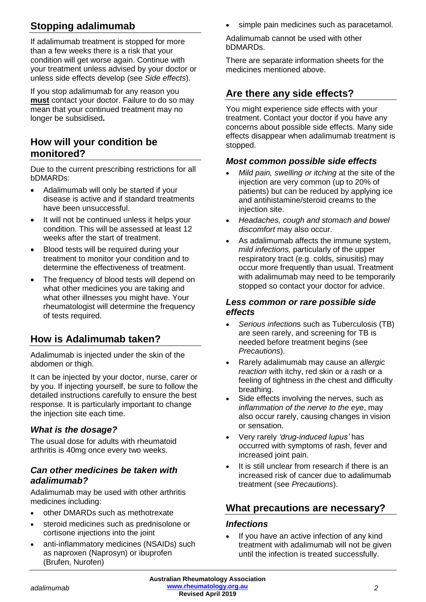## **Stopping adalimumab**

If adalimumab treatment is stopped for more than a few weeks there is a risk that your condition will get worse again. Continue with your treatment unless advised by your doctor or unless side effects develop (see *Side effects*).

If you stop adalimumab for any reason you **must** contact your doctor. Failure to do so may mean that your continued treatment may no longer be subsidised**.**

## **How will your condition be monitored?**

Due to the current prescribing restrictions for all bDMARDs:

- Adalimumab will only be started if your disease is active and if standard treatments have been unsuccessful.
- It will not be continued unless it helps your condition. This will be assessed at least 12 weeks after the start of treatment.
- Blood tests will be required during your treatment to monitor your condition and to determine the effectiveness of treatment.
- The frequency of blood tests will depend on what other medicines you are taking and what other illnesses you might have. Your rheumatologist will determine the frequency of tests required.

## **How is Adalimumab taken?**

Adalimumab is injected under the skin of the abdomen or thigh.

It can be injected by your doctor, nurse, carer or by you. If injecting yourself, be sure to follow the detailed instructions carefully to ensure the best response. It is particularly important to change the injection site each time.

## *What is the dosage?*

The usual dose for adults with rheumatoid arthritis is 40mg once every two weeks.

#### *Can other medicines be taken with adalimumab?*

Adalimumab may be used with other arthritis medicines including:

- other DMARDs such as methotrexate
- steroid medicines such as prednisolone or cortisone injections into the joint
- anti-inflammatory medicines (NSAIDs) such as naproxen (Naprosyn) or ibuprofen (Brufen, Nurofen)

simple pain medicines such as paracetamol.

Adalimumab cannot be used with other bDMARDs.

There are separate information sheets for the medicines mentioned above.

## **Are there any side effects?**

You might experience side effects with your treatment. Contact your doctor if you have any concerns about possible side effects. Many side effects disappear when adalimumab treatment is stopped.

#### *Most common possible side effects*

- *Mild pain, swelling or itching* at the site of the injection are very common (up to 20% of patients) but can be reduced by applying ice and antihistamine/steroid creams to the injection site.
- *Headaches, cough and stomach and bowel discomfort* may also occur.
- As adalimumab affects the immune system, *mild infections,* particularly of the upper respiratory tract (e.g. colds, sinusitis) may occur more frequently than usual. Treatment with adalimumab may need to be temporarily stopped so contact your doctor for advice.

#### *Less common or rare possible side effects*

- *Serious infection*s such as Tuberculosis (TB) are seen rarely, and screening for TB is needed before treatment begins (see *Precautions*).
- Rarely adalimumab may cause an *allergic reaction* with itchy, red skin or a rash or a feeling of tightness in the chest and difficulty breathing.
- Side effects involving the nerves, such as *inflammation of the nerve to the eye*, may also occur rarely, causing changes in vision or sensation.
- Very rarely *'drug-induced lupus'* has occurred with symptoms of rash, fever and increased joint pain.
- It is still unclear from research if there is an increased risk of cancer due to adalimumab treatment (see *Precautions*).

## **What precautions are necessary?**

#### *Infections*

If you have an active infection of any kind treatment with adalimumab will not be given until the infection is treated successfully.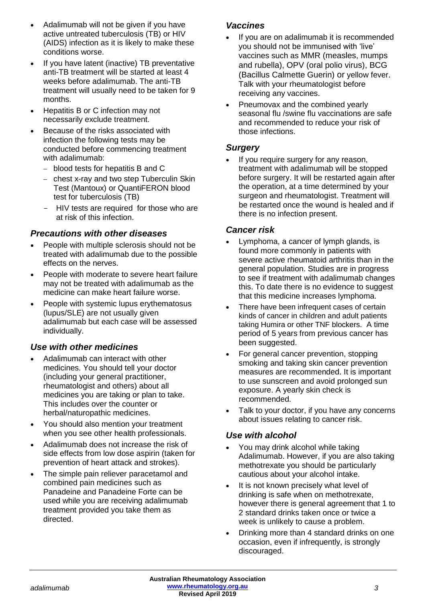- Adalimumab will not be given if you have active untreated tuberculosis (TB) or HIV (AIDS) infection as it is likely to make these conditions worse.
- If you have latent (inactive) TB preventative anti-TB treatment will be started at least 4 weeks before adalimumab. The anti-TB treatment will usually need to be taken for 9 months.
- Hepatitis B or C infection may not necessarily exclude treatment.
- Because of the risks associated with infection the following tests may be conducted before commencing treatment with adalimumab:
	- − blood tests for hepatitis B and C
	- − chest x-ray and two step Tuberculin Skin Test (Mantoux) or QuantiFERON blood test for tuberculosis (TB)
	- HIV tests are required for those who are at risk of this infection.

#### *Precautions with other diseases*

- People with multiple sclerosis should not be treated with adalimumab due to the possible effects on the nerves.
- People with moderate to severe heart failure may not be treated with adalimumab as the medicine can make heart failure worse.
- People with systemic lupus erythematosus (lupus/SLE) are not usually given adalimumab but each case will be assessed individually.

## *Use with other medicines*

- Adalimumab can interact with other medicines. You should tell your doctor (including your general practitioner, rheumatologist and others) about all medicines you are taking or plan to take. This includes over the counter or herbal/naturopathic medicines.
- You should also mention your treatment when you see other health professionals.
- Adalimumab does not increase the risk of side effects from low dose aspirin (taken for prevention of heart attack and strokes).
- The simple pain reliever paracetamol and combined pain medicines such as Panadeine and Panadeine Forte can be used while you are receiving adalimumab treatment provided you take them as directed.

#### *Vaccines*

- If you are on adalimumab it is recommended you should not be immunised with 'live' vaccines such as MMR (measles, mumps and rubella), OPV (oral polio virus), BCG (Bacillus Calmette Guerin) or yellow fever. Talk with your rheumatologist before receiving any vaccines.
- Pneumovax and the combined yearly seasonal flu /swine flu vaccinations are safe and recommended to reduce your risk of those infections.

#### *Surgery*

If you require surgery for any reason, treatment with adalimumab will be stopped before surgery. It will be restarted again after the operation, at a time determined by your surgeon and rheumatologist. Treatment will be restarted once the wound is healed and if there is no infection present.

#### *Cancer risk*

- Lymphoma, a cancer of lymph glands, is found more commonly in patients with severe active rheumatoid arthritis than in the general population. Studies are in progress to see if treatment with adalimumab changes this. To date there is no evidence to suggest that this medicine increases lymphoma.
- There have been infrequent cases of certain kinds of cancer in children and adult patients taking Humira or other TNF blockers. A time period of 5 years from previous cancer has been suggested.
- For general cancer prevention, stopping smoking and taking skin cancer prevention measures are recommended. It is important to use sunscreen and avoid prolonged sun exposure. A yearly skin check is recommended.
- Talk to your doctor, if you have any concerns about issues relating to cancer risk.

#### *Use with alcohol*

- You may drink alcohol while taking Adalimumab. However, if you are also taking methotrexate you should be particularly cautious about your alcohol intake.
- It is not known precisely what level of drinking is safe when on methotrexate, however there is general agreement that 1 to 2 standard drinks taken once or twice a week is unlikely to cause a problem.
- Drinking more than 4 standard drinks on one occasion, even if infrequently, is strongly discouraged.